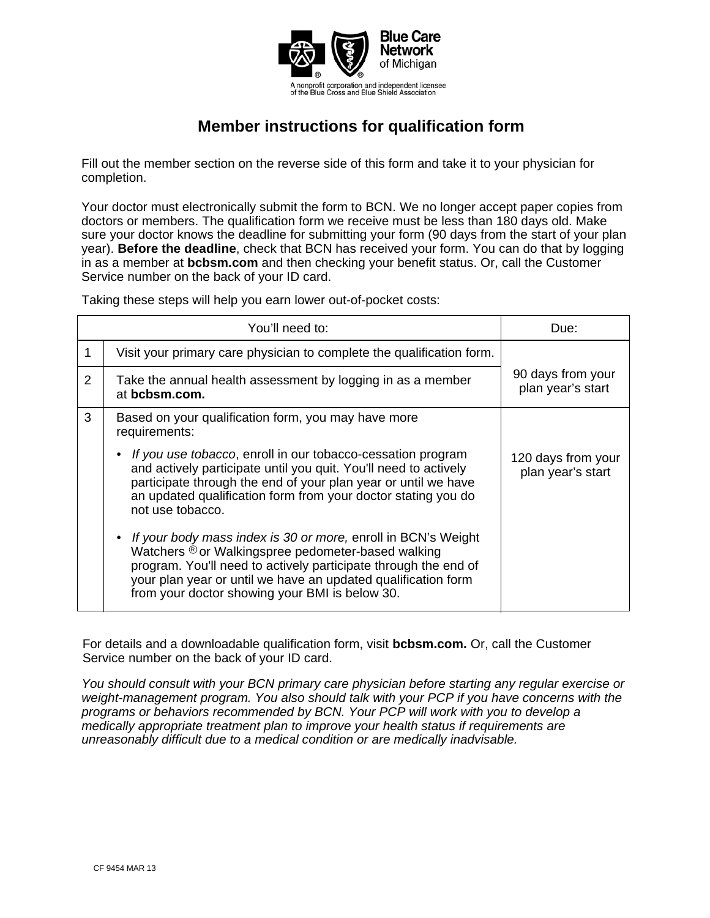

## **Member instructions for qualification form**

Fill out the member section on the reverse side of this form and take it to your physician for completion.

Your doctor must electronically submit the form to BCN. We no longer accept paper copies from doctors or members. The qualification form we receive must be less than 180 days old. Make sure your doctor knows the deadline for submitting your form (90 days from the start of your plan year). **Before the deadline**, check that BCN has received your form. You can do that by logging in as a member at **bcbsm.com** and then checking your benefit status. Or, call the Customer Service number on the back of your ID card.

Taking these steps will help you earn lower out-of-pocket costs:

|   | You'll need to:                                                                                                                                                                                                                                                                                                        | Due:                                    |
|---|------------------------------------------------------------------------------------------------------------------------------------------------------------------------------------------------------------------------------------------------------------------------------------------------------------------------|-----------------------------------------|
|   | Visit your primary care physician to complete the qualification form.                                                                                                                                                                                                                                                  |                                         |
| 2 | Take the annual health assessment by logging in as a member<br>at bcbsm.com.                                                                                                                                                                                                                                           | 90 days from your<br>plan year's start  |
| 3 | Based on your qualification form, you may have more<br>requirements:                                                                                                                                                                                                                                                   |                                         |
|   | If you use tobacco, enroll in our tobacco-cessation program<br>and actively participate until you quit. You'll need to actively<br>participate through the end of your plan year or until we have<br>an updated qualification form from your doctor stating you do<br>not use tobacco.                                 | 120 days from your<br>plan year's start |
|   | If your body mass index is 30 or more, enroll in BCN's Weight<br>$\bullet$<br>Watchers ® or Walkingspree pedometer-based walking<br>program. You'll need to actively participate through the end of<br>your plan year or until we have an updated qualification form<br>from your doctor showing your BMI is below 30. |                                         |

For details and a downloadable qualification form, visit **bcbsm.com.** Or, call the Customer Service number on the back of your ID card.

*You should consult with your BCN primary care physician before starting any regular exercise or weight-management program. You also should talk with your PCP if you have concerns with the programs or behaviors recommended by BCN. Your PCP will work with you to develop a medically appropriate treatment plan to improve your health status if requirements are unreasonably difficult due to a medical condition or are medically inadvisable.*